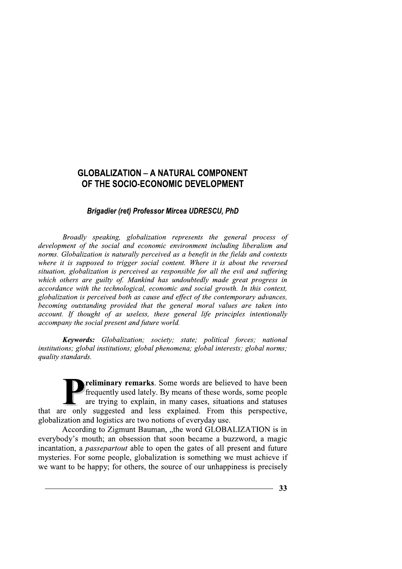**GLOBALIZATION – A NATURAL COMPONENT<br>
OF THE SOCIO-ECONOMIC DEVELOPMENT**<br> *Brigadier (ret) Professor Mircea UDRESCU, PhD*<br> *Brigadier (ret) Professor Mircea UDRESCU, PhD*<br> *Broadly speaking, globalization represents the ge*  Broadly speaking, globalization represents the general process of  $d$ evelopment of the social and economic environment including liberalism and norms. Globalization is naturally perceived as a benefit in the fields and contexts where it is supposed to trigger social content. Where it is about the reversed situation, globalization is perceived as responsible for all the evil and suffering which others are guilty of. Mankind has undoubtedly made great progress in  $accordance$  with the technological, economic and social growth. In this context, globalization is perceived both as cause and effect of the contemporary advances, becoming outstanding provided that the general moral values are taken into  $account.\ If thought of as useless, these general life principles intentionally$  $accompany$  the social present and future world.

**Keywords:** Globalization; society; state; political forces; national institutions; global institutions; global phenomena; global interests; global norms; quality standards.

reliminary remarks. Some words are believed to have been frequently used lately. By means of these words, some people are trying to explain, in many cases, situations and statuses that are only suggested and less explained. From this perspective, globalization and logistics are two notions of everyday use.

According to Zigmunt Bauman, "the word GLOBALIZATION is in everybody's mouth; an obsession that soon became a buzzword, a magic incantation, a *passepartout* able to open the gates of all present and future mysteries. For some people, globalization is something we must achieve if we want to be happy; for others, the source of our unhappiness is precisely Frequently used lately. By means of these words, some people<br>that are only suggested and less explained. From this perspective,<br>globalization and logistics are two notions of everyday use.<br>According to Zigmunt Bauman, "the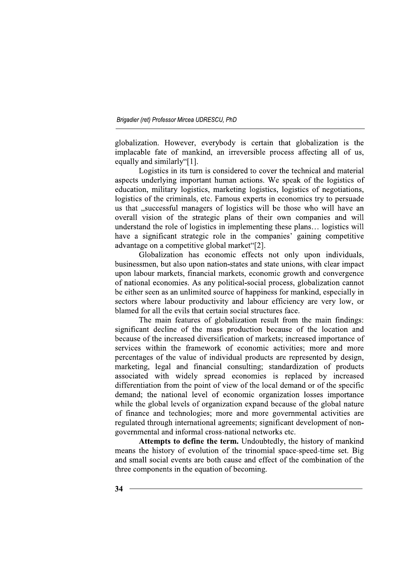globalization. However, everybody is certain that globalization is the implacable fate of mankind, an irreversible process affecting all of us, equally and similarly "[1].

Logistics in its turn is considered to cover the technical and material aspects underlying important human actions. We speak of the logistics of education, military logistics, marketing logistics, logistics of negotiations, logistics of the criminals, etc. Famous experts in economics try to persuade us that "successful managers of logistics will be those who will have an overall vision of the strategic plans of their own companies and will understand the role of logistics in implementing these plans... logistics will have a significant strategic role in the companies' gaining competitive advantage on a competitive global market"[2].

Globalization has economic effects not only upon individuals, businessmen, but also upon nation-states and state unions, with clear impact upon labour markets, financial markets, economic growth and convergence of national economies. As any political-social process, globalization cannot be either seen as an unlimited source of happiness for mankind, especially in sectors where labour productivity and labour efficiency are very low, or blamed for all the evils that certain social structures face.

The main features of globalization result from the main findings: significant decline of the mass production because of the location and because of the increased diversification of markets; increased importance of services within the framework of economic activities; more and more percentages of the value of individual products are represented by design, marketing, legal and financial consulting; standardization of products associated with widely spread economies is replaced by increased differentiation from the point of view of the local demand or of the specific demand; the national level of economic organization losses importance while the global levels of organization expand because of the global nature of finance and technologies; more and more governmental activities are regulated through international agreements; significant development of nongovernmental and informal cross-national networks etc.

Attempts to define the term. Undoubtedly, the history of mankind means the history of evolution of the trinomial space-speed-time set. Big and small social events are both cause and effect of the combination of the three components in the equation of becoming.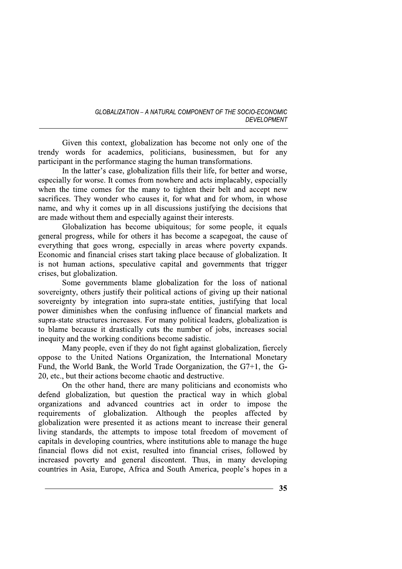Given this context, globalization has become not only one of the trendy words for academics, politicians, businessmen, but for any participant in the performance staging the human transformations.

In the latter's case, globalization fills their life, for better and worse, especially for worse. It comes from nowhere and acts implacably, especially when the time comes for the many to tighten their belt and accept new sacrifices. They wonder who causes it, for what and for whom, in whose name, and why it comes up in all discussions justifying the decisions that are made without them and especially against their interests.

Globalization has become ubiquitous; for some people, it equals general progress, while for others it has become a scapegoat, the cause of everything that goes wrong, especially in areas where poverty expands. Economic and financial crises start taking place because of globalization. It is not human actions, speculative capital and governments that trigger crises, but globalization.

Some governments blame globalization for the loss of national sovereignty, others justify their political actions of giving up their national sovereignty by integration into supra-state entities, justifying that local power diminishes when the confusing influence of financial markets and supra-state structures increases. For many political leaders, globalization is to blame because it drastically cuts the number of jobs, increases social inequity and the working conditions become sadistic.

Many people, even if they do not fight against globalization, fiercely oppose to the United Nations Organization, the International Monetary Fund, the World Bank, the World Trade Oorganization, the G7+1, the G-20, etc., but their actions become chaotic and destructive.

On the other hand, there are many politicians and economists who defend globalization, but question the practical way in which global organizations and advanced countries act in order to impose the requirements of globalization. Although the peoples affected by globalization were presented it as actions meant to increase their general living standards, the attempts to impose total freedom of movement of capitals in developing countries, where institutions able to manage the huge financial flows did not exist, resulted into financial crises, followed by increased poverty and general discontent. Thus, in many developing countries in Asia, Europe, Africa and South America, people's hopes in a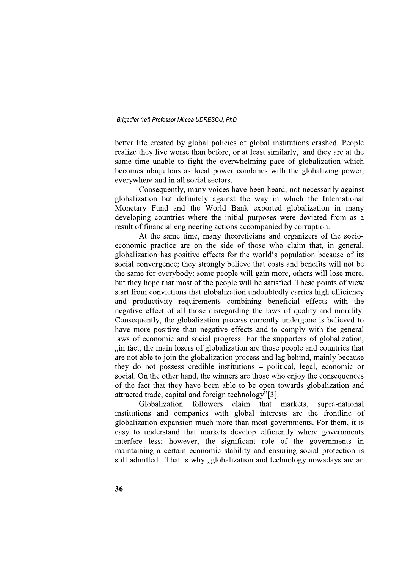better life created by global policies of global institutions crashed. People realize they live worse than before, or at least similarly, and they are at the same time unable to fight the overwhelming pace of globalization which becomes ubiquitous as local power combines with the globalizing power, everywhere and in all social sectors.

Consequently, many voices have been heard, not necessarily against globalization but definitely against the way in which the International Monetary Fund and the World Bank exported globalization in many developing countries where the initial purposes were deviated from as a result of financial engineering actions accompanied by corruption.

At the same time, many theoreticians and organizers of the socioeconomic practice are on the side of those who claim that, in general, globalization has positive effects for the world's population because of its social convergence; they strongly believe that costs and benefits will not be the same for everybody: some people will gain more, others will lose more, but they hope that most of the people will be satisfied. These points of view start from convictions that globalization undoubtedly carries high efficiency and productivity requirements combining beneficial effects with the negative effect of all those disregarding the laws of quality and morality. Consequently, the globalization process currently undergone is believed to have more positive than negative effects and to comply with the general laws of economic and social progress. For the supporters of globalization, ..in fact, the main losers of globalization are those people and countries that are not able to join the globalization process and lag behind, mainly because they do not possess credible institutions – political, legal, economic or social. On the other hand, the winners are those who enjoy the consequences of the fact that they have been able to be open towards globalization and attracted trade, capital and foreign technology"[3].

Globalization followers claim that markets. supra-national institutions and companies with global interests are the frontline of globalization expansion much more than most governments. For them, it is easy to understand that markets develop efficiently where governments interfere less; however, the significant role of the governments in maintaining a certain economic stability and ensuring social protection is still admitted. That is why "globalization and technology nowadays are an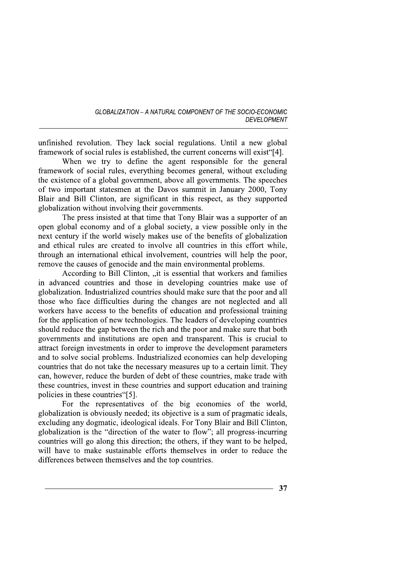unfinished revolution. They lack social regulations. Until a new global framework of social rules is established, the current concerns will exist"[4].

When we try to define the agent responsible for the general framework of social rules, everything becomes general, without excluding the existence of a global government, above all governments. The speeches of two important statesmen at the Davos summit in January 2000. Tony Blair and Bill Clinton, are significant in this respect, as they supported globalization without involving their governments.

The press insisted at that time that Tony Blair was a supporter of an open global economy and of a global society, a view possible only in the next century if the world wisely makes use of the benefits of globalization and ethical rules are created to involve all countries in this effort while. through an international ethical involvement, countries will help the poor, remove the causes of genocide and the main environmental problems.

According to Bill Clinton, "it is essential that workers and families in advanced countries and those in developing countries make use of globalization. Industrialized countries should make sure that the poor and all those who face difficulties during the changes are not neglected and all workers have access to the benefits of education and professional training for the application of new technologies. The leaders of developing countries should reduce the gap between the rich and the poor and make sure that both governments and institutions are open and transparent. This is crucial to attract foreign investments in order to improve the development parameters and to solve social problems. Industrialized economies can help developing countries that do not take the necessary measures up to a certain limit. They can, however, reduce the burden of debt of these countries, make trade with these countries, invest in these countries and support education and training policies in these countries [5].

For the representatives of the big economies of the world, globalization is obviously needed; its objective is a sum of pragmatic ideals, excluding any dogmatic, ideological ideals. For Tony Blair and Bill Clinton, globalization is the "direction of the water to flow"; all progress-incurring countries will go along this direction; the others, if they want to be helped, will have to make sustainable efforts themselves in order to reduce the differences between themselves and the top countries.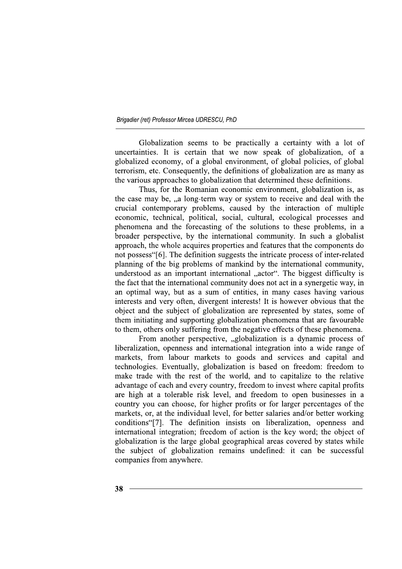Globalization seems to be practically a certainty with a lot of uncertainties. It is certain that we now speak of globalization, of a globalized economy, of a global environment, of global policies, of global terrorism, etc. Consequently, the definitions of globalization are as many as the various approaches to globalization that determined these definitions.

Thus, for the Romanian economic environment, globalization is, as the case may be, ..a long-term way or system to receive and deal with the crucial contemporary problems, caused by the interaction of multiple economic, technical, political, social, cultural, ecological processes and phenomena and the forecasting of the solutions to these problems, in a broader perspective, by the international community. In such a globalist approach, the whole acquires properties and features that the components do not possess"[6]. The definition suggests the intricate process of inter-related planning of the big problems of mankind by the international community, understood as an important international "actor". The biggest difficulty is the fact that the international community does not act in a synergetic way, in an optimal way, but as a sum of entities, in many cases having various interests and very often, divergent interests! It is however obvious that the object and the subject of globalization are represented by states, some of them initiating and supporting globalization phenomena that are favourable to them, others only suffering from the negative effects of these phenomena.

From another perspective, "globalization is a dynamic process of liberalization, openness and international integration into a wide range of markets, from labour markets to goods and services and capital and technologies. Eventually, globalization is based on freedom: freedom to make trade with the rest of the world, and to capitalize to the relative advantage of each and every country, freedom to invest where capital profits are high at a tolerable risk level, and freedom to open businesses in a country you can choose, for higher profits or for larger percentages of the markets, or, at the individual level, for better salaries and/or better working conditions [7]. The definition insists on liberalization, openness and international integration; freedom of action is the key word; the object of globalization is the large global geographical areas covered by states while the subject of globalization remains undefined: it can be successful companies from anywhere.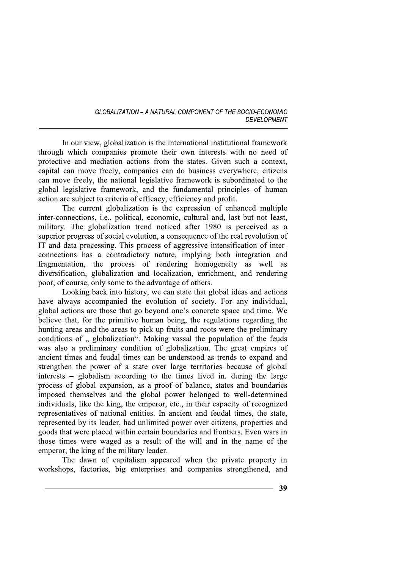In our view, globalization is the international institutional framework through which companies promote their own interests with no need of protective and mediation actions from the states. Given such a context, capital can move freely, companies can do business everywhere, citizens can move freely, the national legislative framework is subordinated to the global legislative framework, and the fundamental principles of human action are subject to criteria of efficacy, efficiency and profit.

The current globalization is the expression of enhanced multiple inter-connections, i.e., political, economic, cultural and, last but not least, military. The globalization trend noticed after 1980 is perceived as a superior progress of social evolution, a consequence of the real revolution of IT and data processing. This process of aggressive intensification of interconnections has a contradictory nature, implying both integration and fragmentation, the process of rendering homogeneity as well as diversification, globalization and localization, enrichment, and rendering poor, of course, only some to the advantage of others.

Looking back into history, we can state that global ideas and actions have always accompanied the evolution of society. For any individual, global actions are those that go beyond one's concrete space and time. We believe that, for the primitive human being, the regulations regarding the hunting areas and the areas to pick up fruits and roots were the preliminary conditions of " globalization". Making vassal the population of the feuds was also a preliminary condition of globalization. The great empires of ancient times and feudal times can be understood as trends to expand and strengthen the power of a state over large territories because of global interests – globalism according to the times lived in. during the large process of global expansion, as a proof of balance, states and boundaries imposed themselves and the global power belonged to well-determined individuals, like the king, the emperor, etc., in their capacity of recognized representatives of national entities. In ancient and feudal times, the state, represented by its leader, had unlimited power over citizens, properties and goods that were placed within certain boundaries and frontiers. Even wars in those times were waged as a result of the will and in the name of the emperor, the king of the military leader.

The dawn of capitalism appeared when the private property in workshops, factories, big enterprises and companies strengthened, and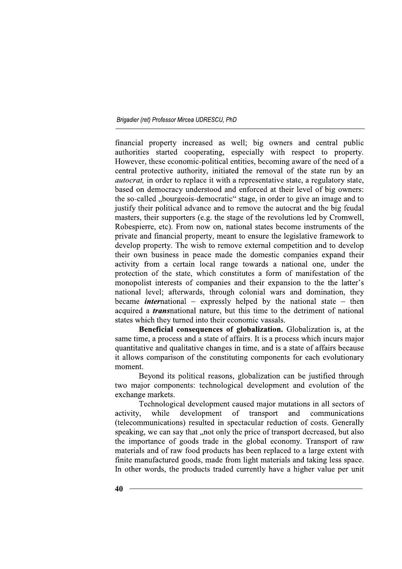financial property increased as well; big owners and central public authorities started cooperating, especially with respect to property. However, these economic-political entities, becoming aware of the need of a central protective authority, initiated the removal of the state run by an *autocrat*, in order to replace it with a representative state, a regulatory state, based on democracy understood and enforced at their level of big owners: the so-called "bourgeois-democratic" stage, in order to give an image and to justify their political advance and to remove the autocrat and the big feudal masters, their supporters (e.g. the stage of the revolutions led by Cromwell, Robespierre, etc). From now on, national states become instruments of the private and financial property, meant to ensure the legislative framework to develop property. The wish to remove external competition and to develop their own business in peace made the domestic companies expand their activity from a certain local range towards a national one, under the protection of the state, which constitutes a form of manifestation of the monopolist interests of companies and their expansion to the the latter's national level; afterwards, through colonial wars and domination, they became *international* – expressly helped by the national state – then acquired a *transmational nature*, but this time to the detriment of national states which they turned into their economic vassals.

Beneficial consequences of globalization. Globalization is, at the same time, a process and a state of affairs. It is a process which incurs major quantitative and qualitative changes in time, and is a state of affairs because it allows comparison of the constituting components for each evolutionary moment.

Beyond its political reasons, globalization can be justified through two major components: technological development and evolution of the exchange markets.

Technological development caused major mutations in all sectors of while development of transport and communications activity. (telecommunications) resulted in spectacular reduction of costs. Generally speaking, we can say that , not only the price of transport decreased, but also the importance of goods trade in the global economy. Transport of raw materials and of raw food products has been replaced to a large extent with finite manufactured goods, made from light materials and taking less space. In other words, the products traded currently have a higher value per unit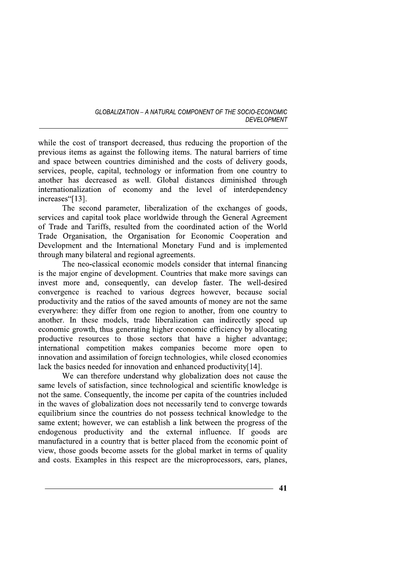while the cost of transport decreased, thus reducing the proportion of the previous items as against the following items. The natural barriers of time and space between countries diminished and the costs of delivery goods, services, people, capital, technology or information from one country to another has decreased as well. Global distances diminished through internationalization of economy and the level of interdependency increases"[13].

The second parameter, liberalization of the exchanges of goods, services and capital took place worldwide through the General Agreement of Trade and Tariffs, resulted from the coordinated action of the World Trade Organisation, the Organisation for Economic Cooperation and Development and the International Monetary Fund and is implemented through many bilateral and regional agreements.

The neo-classical economic models consider that internal financing is the major engine of development. Countries that make more savings can invest more and, consequently, can develop faster. The well-desired convergence is reached to various degrees however, because social productivity and the ratios of the saved amounts of money are not the same everywhere: they differ from one region to another, from one country to another. In these models, trade liberalization can indirectly speed up economic growth, thus generating higher economic efficiency by allocating productive resources to those sectors that have a higher advantage; international competition makes companies become more open to innovation and assimilation of foreign technologies, while closed economies lack the basics needed for innovation and enhanced productivity[14].

We can therefore understand why globalization does not cause the same levels of satisfaction, since technological and scientific knowledge is not the same. Consequently, the income per capita of the countries included in the waves of globalization does not necessarily tend to converge towards equilibrium since the countries do not possess technical knowledge to the same extent; however, we can establish a link between the progress of the endogenous productivity and the external influence. If goods are manufactured in a country that is better placed from the economic point of view, those goods become assets for the global market in terms of quality and costs. Examples in this respect are the microprocessors, cars, planes,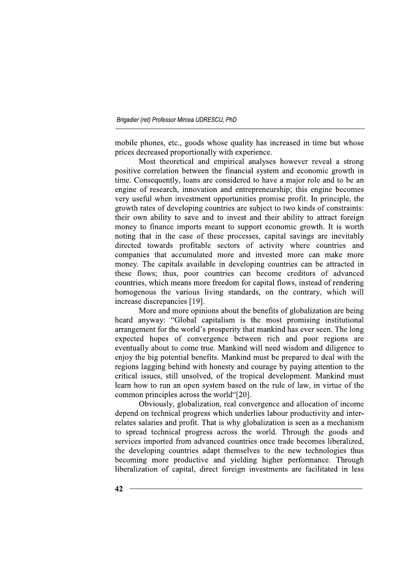mobile phones, etc., goods whose quality has increased in time but whose prices decreased proportionally with experience.

Most theoretical and empirical analyses however reveal a strong positive correlation between the financial system and economic growth in time. Consequently, loans are considered to have a major role and to be an engine of research, innovation and entrepreneurship; this engine becomes very useful when investment opportunities promise profit. In principle, the growth rates of developing countries are subject to two kinds of constraints: their own ability to save and to invest and their ability to attract foreign money to finance imports meant to support economic growth. It is worth noting that in the case of these processes, capital savings are inevitably directed towards profitable sectors of activity where countries and companies that accumulated more and invested more can make more money. The capitals available in developing countries can be attracted in these flows; thus, poor countries can become creditors of advanced countries, which means more freedom for capital flows, instead of rendering homogenous the various living standards, on the contrary, which will increase discrepancies [19].

More and more opinions about the benefits of globalization are being heard anyway: "Global capitalism is the most promising institutional arrangement for the world's prosperity that mankind has ever seen. The long expected hopes of convergence between rich and poor regions are eventually about to come true. Mankind will need wisdom and diligence to enjoy the big potential benefits. Mankind must be prepared to deal with the regions lagging behind with honesty and courage by paying attention to the critical issues, still unsolved, of the tropical development. Mankind must learn how to run an open system based on the rule of law, in virtue of the common principles across the world"[20].

Obviously, globalization, real convergence and allocation of income depend on technical progress which underlies labour productivity and interrelates salaries and profit. That is why globalization is seen as a mechanism to spread technical progress across the world. Through the goods and services imported from advanced countries once trade becomes liberalized, the developing countries adapt themselves to the new technologies thus becoming more productive and yielding higher performance. Through liberalization of capital, direct foreign investments are facilitated in less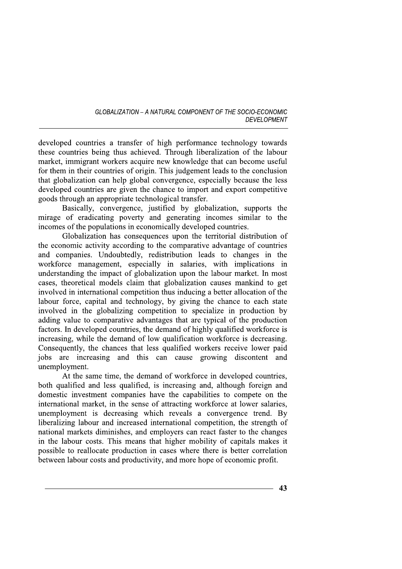developed countries a transfer of high performance technology towards these countries being thus achieved. Through liberalization of the labour market, immigrant workers acquire new knowledge that can become useful for them in their countries of origin. This judgement leads to the conclusion that globalization can help global convergence, especially because the less developed countries are given the chance to import and export competitive goods through an appropriate technological transfer.

Basically, convergence, justified by globalization, supports the mirage of eradicating poverty and generating incomes similar to the incomes of the populations in economically developed countries.

Globalization has consequences upon the territorial distribution of the economic activity according to the comparative advantage of countries and companies. Undoubtedly, redistribution leads to changes in the workforce management, especially in salaries, with implications in understanding the impact of globalization upon the labour market. In most cases, theoretical models claim that globalization causes mankind to get involved in international competition thus inducing a better allocation of the labour force, capital and technology, by giving the chance to each state involved in the globalizing competition to specialize in production by adding value to comparative advantages that are typical of the production factors. In developed countries, the demand of highly qualified workforce is increasing, while the demand of low qualification workforce is decreasing. Consequently, the chances that less qualified workers receive lower paid jobs are increasing and this can cause growing discontent and unemployment.

At the same time, the demand of workforce in developed countries, both qualified and less qualified, is increasing and, although foreign and domestic investment companies have the capabilities to compete on the international market, in the sense of attracting workforce at lower salaries, unemployment is decreasing which reveals a convergence trend. By liberalizing labour and increased international competition, the strength of national markets diminishes, and employers can react faster to the changes in the labour costs. This means that higher mobility of capitals makes it possible to reallocate production in cases where there is better correlation between labour costs and productivity, and more hope of economic profit.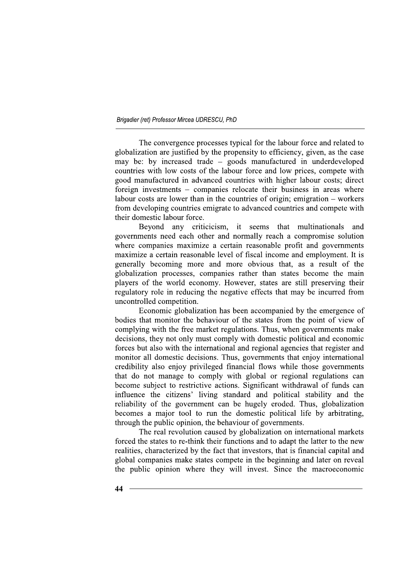The convergence processes typical for the labour force and related to globalization are justified by the propensity to efficiency, given, as the case may be: by increased trade – goods manufactured in underdeveloped countries with low costs of the labour force and low prices, compete with good manufactured in advanced countries with higher labour costs; direct foreign investments – companies relocate their business in areas where labour costs are lower than in the countries of origin; emigration – workers from developing countries emigrate to advanced countries and compete with their domestic labour force.

Beyond any criticicism, it seems that multinationals and governments need each other and normally reach a compromise solution where companies maximize a certain reasonable profit and governments maximize a certain reasonable level of fiscal income and employment. It is generally becoming more and more obvious that, as a result of the globalization processes, companies rather than states become the main players of the world economy. However, states are still preserving their regulatory role in reducing the negative effects that may be incurred from uncontrolled competition.

Economic globalization has been accompanied by the emergence of bodies that monitor the behaviour of the states from the point of view of complying with the free market regulations. Thus, when governments make decisions, they not only must comply with domestic political and economic forces but also with the international and regional agencies that register and monitor all domestic decisions. Thus, governments that enjoy international credibility also enjoy privileged financial flows while those governments that do not manage to comply with global or regional regulations can become subject to restrictive actions. Significant withdrawal of funds can influence the citizens' living standard and political stability and the reliability of the government can be hugely eroded. Thus, globalization becomes a major tool to run the domestic political life by arbitrating, through the public opinion, the behaviour of governments.

The real revolution caused by globalization on international markets forced the states to re-think their functions and to adapt the latter to the new realities, characterized by the fact that investors, that is financial capital and global companies make states compete in the beginning and later on reveal the public opinion where they will invest. Since the macroeconomic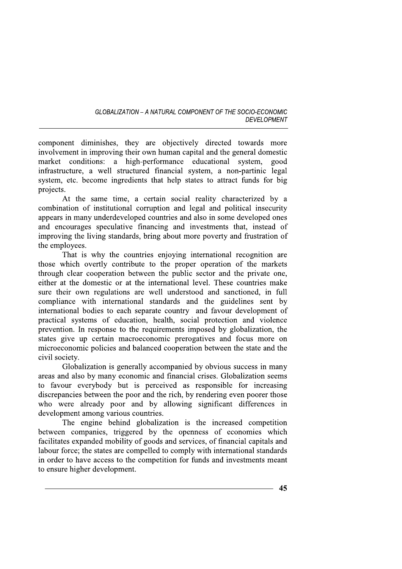component diminishes, they are objectively directed towards more involvement in improving their own human capital and the general domestic market conditions: a high-performance educational system, good infrastructure, a well structured financial system, a non-partinic legal system, etc. become ingredients that help states to attract funds for big projects.

At the same time, a certain social reality characterized by a combination of institutional corruption and legal and political insecurity appears in many underdeveloped countries and also in some developed ones and encourages speculative financing and investments that, instead of improving the living standards, bring about more poverty and frustration of the employees.

That is why the countries enjoying international recognition are those which overtly contribute to the proper operation of the markets through clear cooperation between the public sector and the private one, either at the domestic or at the international level. These countries make sure their own regulations are well understood and sanctioned, in full compliance with international standards and the guidelines sent by international bodies to each separate country and favour development of practical systems of education, health, social protection and violence prevention. In response to the requirements imposed by globalization, the states give up certain macroeconomic prerogatives and focus more on microeconomic policies and balanced cooperation between the state and the civil society.

Globalization is generally accompanied by obvious success in many areas and also by many economic and financial crises. Globalization seems to favour everybody but is perceived as responsible for increasing discrepancies between the poor and the rich, by rendering even poorer those who were already poor and by allowing significant differences in development among various countries.

The engine behind globalization is the increased competition between companies, triggered by the openness of economies which facilitates expanded mobility of goods and services, of financial capitals and labour force; the states are compelled to comply with international standards in order to have access to the competition for funds and investments meant to ensure higher development.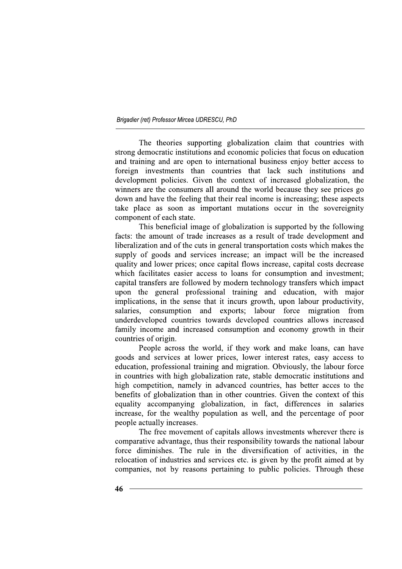The theories supporting globalization claim that countries with strong democratic institutions and economic policies that focus on education and training and are open to international business enjoy better access to foreign investments than countries that lack such institutions and development policies. Given the context of increased globalization, the winners are the consumers all around the world because they see prices go down and have the feeling that their real income is increasing; these aspects take place as soon as important mutations occur in the sovereignity component of each state.

This beneficial image of globalization is supported by the following facts: the amount of trade increases as a result of trade development and liberalization and of the cuts in general transportation costs which makes the supply of goods and services increase; an impact will be the increased quality and lower prices; once capital flows increase, capital costs decrease which facilitates easier access to loans for consumption and investment; capital transfers are followed by modern technology transfers which impact upon the general professional training and education, with major implications, in the sense that it incurs growth, upon labour productivity, consumption and exports; labour force migration salaries. from underdeveloped countries towards developed countries allows increased family income and increased consumption and economy growth in their countries of origin.

People across the world, if they work and make loans, can have goods and services at lower prices, lower interest rates, easy access to education, professional training and migration. Obviously, the labour force in countries with high globalization rate, stable democratic institutions and high competition, namely in advanced countries, has better acces to the benefits of globalization than in other countries. Given the context of this equality accompanying globalization, in fact, differences in salaries increase, for the wealthy population as well, and the percentage of poor people actually increases.

The free movement of capitals allows investments wherever there is comparative advantage, thus their responsibility towards the national labour force diminishes. The rule in the diversification of activities, in the relocation of industries and services etc. is given by the profit aimed at by companies, not by reasons pertaining to public policies. Through these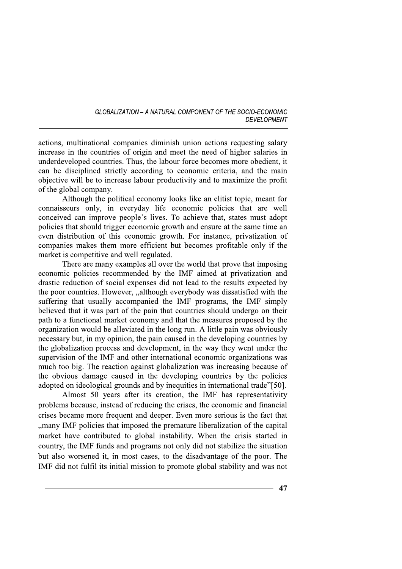actions, multinational companies diminish union actions requesting salary increase in the countries of origin and meet the need of higher salaries in underdeveloped countries. Thus, the labour force becomes more obedient, it can be disciplined strictly according to economic criteria, and the main objective will be to increase labour productivity and to maximize the profit of the global company.

Although the political economy looks like an elitist topic, meant for connaisseurs only, in everyday life economic policies that are well conceived can improve people's lives. To achieve that, states must adopt policies that should trigger economic growth and ensure at the same time an even distribution of this economic growth. For instance, privatization of companies makes them more efficient but becomes profitable only if the market is competitive and well regulated.

There are many examples all over the world that prove that imposing economic policies recommended by the IMF aimed at privatization and drastic reduction of social expenses did not lead to the results expected by the poor countries. However, "although everybody was dissatisfied with the suffering that usually accompanied the IMF programs, the IMF simply believed that it was part of the pain that countries should undergo on their path to a functional market economy and that the measures proposed by the organization would be alleviated in the long run. A little pain was obviously necessary but, in my opinion, the pain caused in the developing countries by the globalization process and development, in the way they went under the supervision of the IMF and other international economic organizations was much too big. The reaction against globalization was increasing because of the obvious damage caused in the developing countries by the policies adopted on ideological grounds and by inequities in international trade"[50].

Almost 50 years after its creation, the IMF has representativity problems because, instead of reducing the crises, the economic and financial crises became more frequent and deeper. Even more serious is the fact that "many IMF policies that imposed the premature liberalization of the capital market have contributed to global instability. When the crisis started in country, the IMF funds and programs not only did not stabilize the situation but also worsened it, in most cases, to the disadvantage of the poor. The IMF did not fulfil its initial mission to promote global stability and was not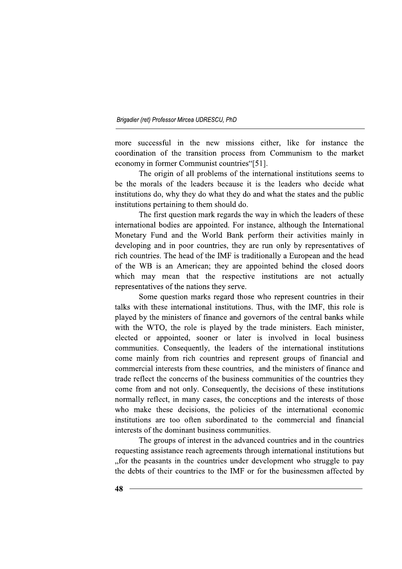more successful in the new missions either, like for instance the coordination of the transition process from Communism to the market economy in former Communist countries "[51].

The origin of all problems of the international institutions seems to be the morals of the leaders because it is the leaders who decide what institutions do, why they do what they do and what the states and the public institutions pertaining to them should do.

The first question mark regards the way in which the leaders of these international bodies are appointed. For instance, although the International Monetary Fund and the World Bank perform their activities mainly in developing and in poor countries, they are run only by representatives of rich countries. The head of the IMF is traditionally a European and the head of the WB is an American; they are appointed behind the closed doors which may mean that the respective institutions are not actually representatives of the nations they serve.

Some question marks regard those who represent countries in their talks with these international institutions. Thus, with the IMF, this role is played by the ministers of finance and governors of the central banks while with the WTO, the role is played by the trade ministers. Each minister, elected or appointed, sooner or later is involved in local business communities. Consequently, the leaders of the international institutions come mainly from rich countries and represent groups of financial and commercial interests from these countries, and the ministers of finance and trade reflect the concerns of the business communities of the countries they come from and not only. Consequently, the decisions of these institutions normally reflect, in many cases, the conceptions and the interests of those who make these decisions, the policies of the international economic institutions are too often subordinated to the commercial and financial interests of the dominant business communities.

The groups of interest in the advanced countries and in the countries requesting assistance reach agreements through international institutions but "for the peasants in the countries under development who struggle to pay the debts of their countries to the IMF or for the businessmen affected by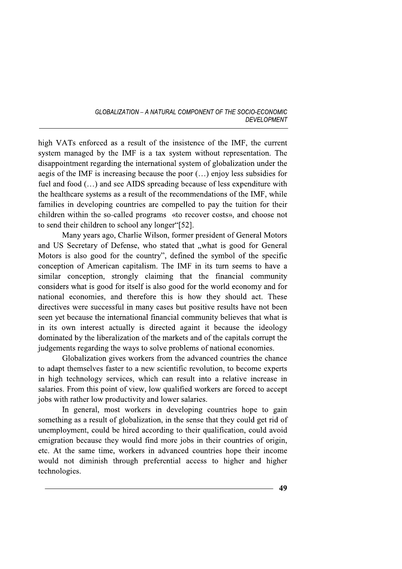high VATs enforced as a result of the insistence of the IMF, the current system managed by the IMF is a tax system without representation. The disappointment regarding the international system of globalization under the aegis of the IMF is increasing because the poor  $(...)$  enjoy less subsidies for fuel and food (...) and see AIDS spreading because of less expenditure with the healthcare systems as a result of the recommendations of the IMF, while families in developing countries are compelled to pay the tuition for their children within the so-called programs «to recover costs», and choose not to send their children to school any longer "[52].

Many years ago, Charlie Wilson, former president of General Motors and US Secretary of Defense, who stated that "what is good for General Motors is also good for the country", defined the symbol of the specific conception of American capitalism. The IMF in its turn seems to have a similar conception, strongly claiming that the financial community considers what is good for itself is also good for the world economy and for national economies, and therefore this is how they should act. These directives were successful in many cases but positive results have not been seen yet because the international financial community believes that what is in its own interest actually is directed againt it because the ideology dominated by the liberalization of the markets and of the capitals corrupt the judgements regarding the ways to solve problems of national economies.

Globalization gives workers from the advanced countries the chance to adapt themselves faster to a new scientific revolution, to become experts in high technology services, which can result into a relative increase in salaries. From this point of view, low qualified workers are forced to accept jobs with rather low productivity and lower salaries.

In general, most workers in developing countries hope to gain something as a result of globalization, in the sense that they could get rid of unemployment, could be hired according to their qualification, could avoid emigration because they would find more jobs in their countries of origin, etc. At the same time, workers in advanced countries hope their income would not diminish through preferential access to higher and higher technologies.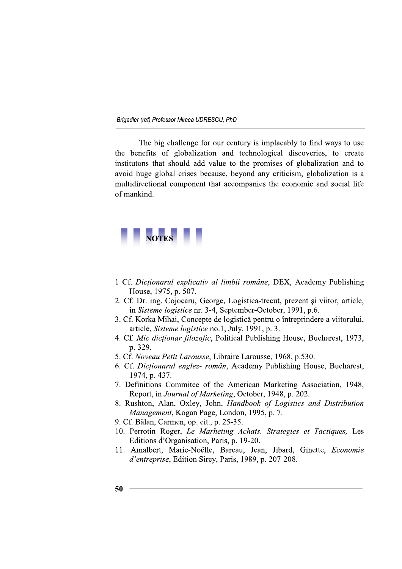The big challenge for our century is implacably to find ways to use the benefits of globalization and technological discoveries, to create institutons that should add value to the promises of globalization and to avoid huge global crises because, beyond any criticism, globalization is a multidirectional component that accompanies the economic and social life of mankind.



- 1 Cf. Dictionarul explicativ al limbii române, DEX, Academy Publishing House, 1975, p. 507.
- 2. Cf. Dr. ing. Cojocaru, George, Logistica-trecut, prezent și viitor, article, in Sisteme logistice nr. 3-4, September-October, 1991, p.6.
- 3. Cf. Korka Mihai, Concepte de logistică pentru o întreprindere a viitorului, article, Sisteme logistice no.1, July, 1991, p. 3.
- 4. Cf. Mic dictionar filozofic, Political Publishing House, Bucharest, 1973, p. 329.
- 5. Cf. Noveau Petit Larousse, Libraire Larousse, 1968, p.530.
- 6. Cf. Dictionarul englez- român, Academy Publishing House, Bucharest, 1974, p. 437.
- 7. Definitions Commitee of the American Marketing Association, 1948, Report, in Journal of Marketing, October, 1948, p. 202.
- 8. Rushton, Alan, Oxley, John, Handbook of Logistics and Distribution Management, Kogan Page, London, 1995, p. 7.
- 9. Cf. Bălan, Carmen, op. cit., p. 25-35.
- 10. Perrotin Roger, Le Marheting Achats. Strategies et Tactiques, Les Editions d'Organisation, Paris, p. 19-20.
- 11. Amalbert, Marie-Noëlle, Bareau, Jean, Jibard, Ginette, Economie d'entreprise, Edition Sirey, Paris, 1989, p. 207-208.